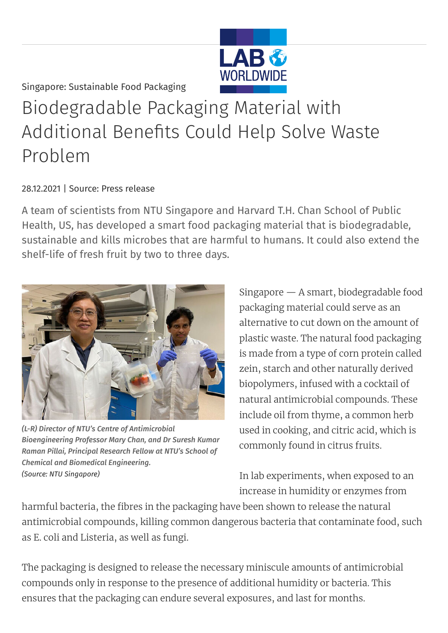Singapore: Sustainable Food Packaging

## Biodegradable Packaging Material with Additional Benefits Could Help Solve Waste Problem

## 28.12.2021 | Source: Press release

A team of scientists from NTU Singapore and Harvard T.H. Chan School of Public Health, US, has developed a smart food packaging material that is biodegradable, sustainable and kills microbes that are harmful to humans. It could also extend the shelf-life of fresh fruit by two to three days.



*(L-R) Director of NTU's Centre of Antimicrobial Bioengineering Professor Mary Chan, and Dr Suresh Kumar Raman Pillai, Principal Research Fellow at NTU's School of Chemical and Biomedical Engineering. (Source: NTU Singapore)*

Singapore — A smart, biodegradable food packaging material could serve as an alternative to cut down on the amount of plastic waste. The natural food packaging is made from a type of corn protein called zein, starch and other naturally derived biopolymers, infused with a cocktail of natural antimicrobial compounds. These include oil from thyme, a common herb used in cooking, and citric acid, which is commonly found in citrus fruits.

In lab experiments, when exposed to an increase in humidity or enzymes from

harmful bacteria, the fibres in the packaging have been shown to release the natural antimicrobial compounds, killing common dangerous bacteria that contaminate food, such as E. coli and Listeria, as well as fungi.

The packaging is designed to release the necessary miniscule amounts of antimicrobial compounds only in response to the presence of additional humidity or bacteria. This ensures that the packaging can endure several exposures, and last for months.